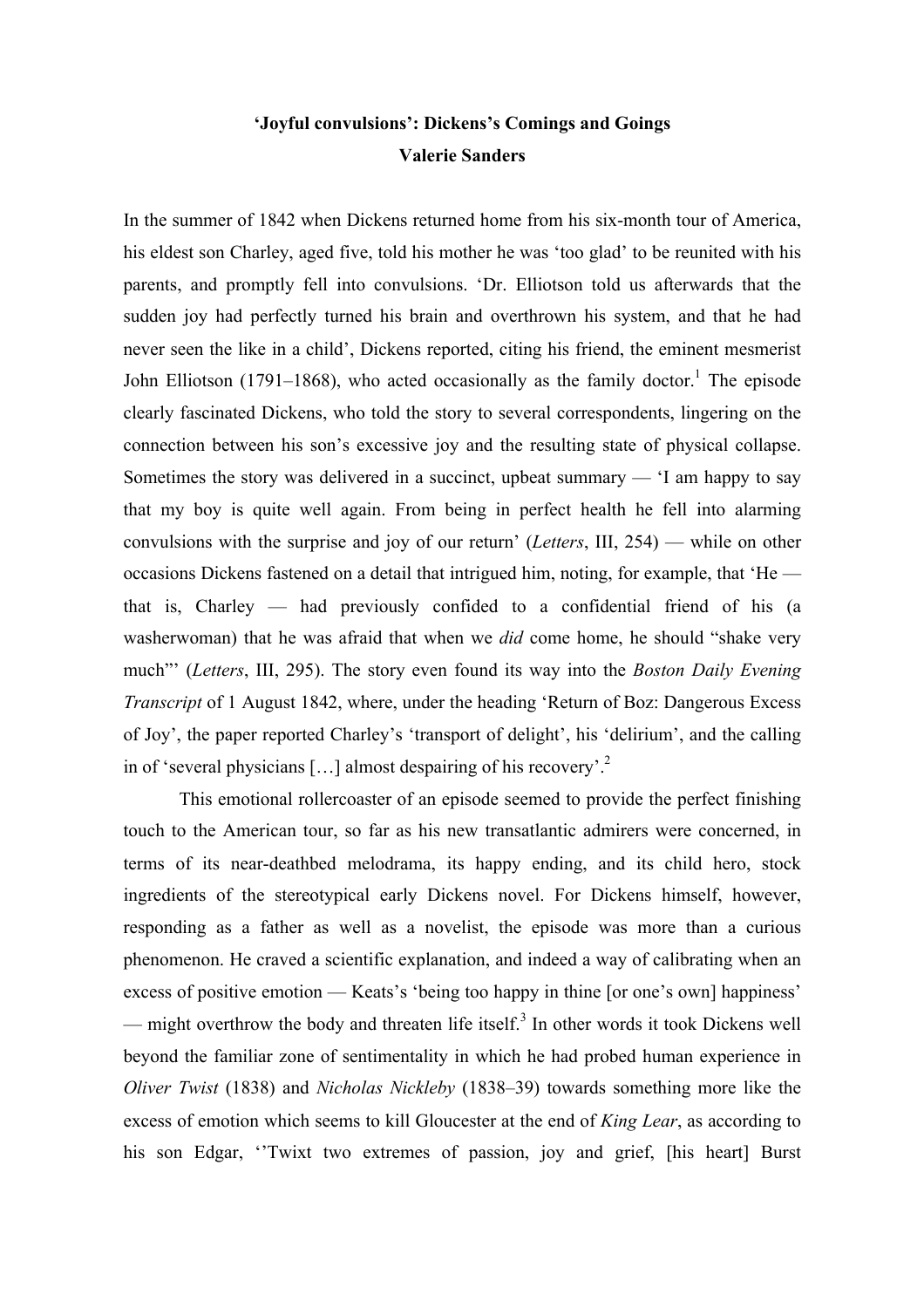# **'Joyful convulsions': Dickens's Comings and Goings Valerie Sanders**

In the summer of 1842 when Dickens returned home from his six-month tour of America, his eldest son Charley, aged five, told his mother he was 'too glad' to be reunited with his parents, and promptly fell into convulsions. 'Dr. Elliotson told us afterwards that the sudden joy had perfectly turned his brain and overthrown his system, and that he had never seen the like in a child', Dickens reported, citing his friend, the eminent mesmerist John Elliotson (1791–1868), who acted occasionally as the family doctor.<sup>1</sup> The episode clearly fascinated Dickens, who told the story to several correspondents, lingering on the connection between his son's excessive joy and the resulting state of physical collapse. Sometimes the story was delivered in a succinct, upbeat summary — 'I am happy to say that my boy is quite well again. From being in perfect health he fell into alarming convulsions with the surprise and joy of our return' (*Letters*, III, 254) — while on other occasions Dickens fastened on a detail that intrigued him, noting, for example, that 'He that is, Charley — had previously confided to a confidential friend of his (a washerwoman) that he was afraid that when we *did* come home, he should "shake very much"' (*Letters*, III, 295). The story even found its way into the *Boston Daily Evening Transcript* of 1 August 1842, where, under the heading 'Return of Boz: Dangerous Excess of Joy', the paper reported Charley's 'transport of delight', his 'delirium', and the calling in of 'several physicians  $[...]$  almost despairing of his recovery'.<sup>2</sup>

This emotional rollercoaster of an episode seemed to provide the perfect finishing touch to the American tour, so far as his new transatlantic admirers were concerned, in terms of its near-deathbed melodrama, its happy ending, and its child hero, stock ingredients of the stereotypical early Dickens novel. For Dickens himself, however, responding as a father as well as a novelist, the episode was more than a curious phenomenon. He craved a scientific explanation, and indeed a way of calibrating when an excess of positive emotion — Keats's 'being too happy in thine [or one's own] happiness' — might overthrow the body and threaten life itself.<sup>3</sup> In other words it took Dickens well beyond the familiar zone of sentimentality in which he had probed human experience in *Oliver Twist* (1838) and *Nicholas Nickleby* (1838–39) towards something more like the excess of emotion which seems to kill Gloucester at the end of *King Lear*, as according to his son Edgar, ''Twixt two extremes of passion, joy and grief, [his heart] Burst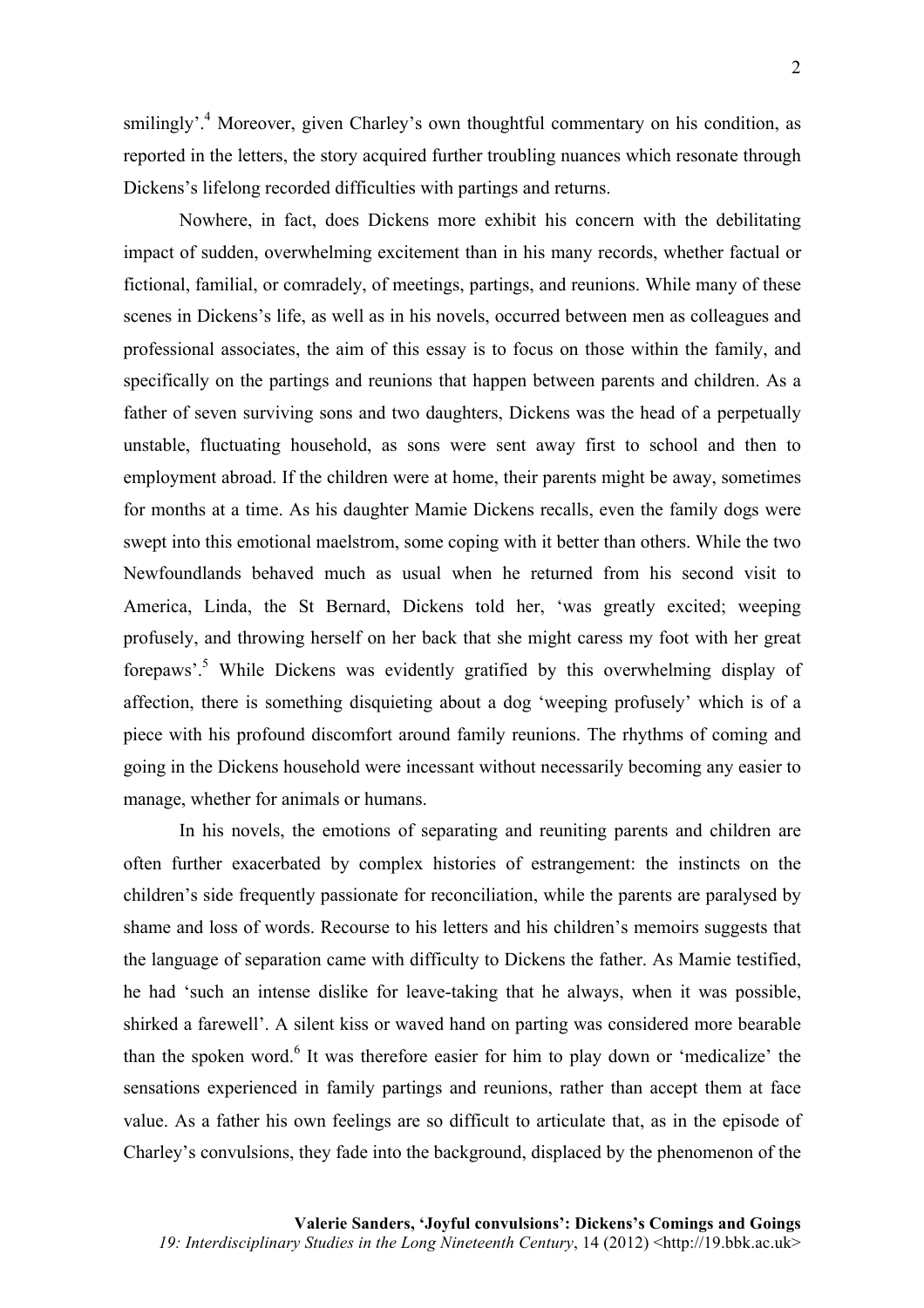smilingly'.<sup>4</sup> Moreover, given Charley's own thoughtful commentary on his condition, as reported in the letters, the story acquired further troubling nuances which resonate through Dickens's lifelong recorded difficulties with partings and returns.

Nowhere, in fact, does Dickens more exhibit his concern with the debilitating impact of sudden, overwhelming excitement than in his many records, whether factual or fictional, familial, or comradely, of meetings, partings, and reunions. While many of these scenes in Dickens's life, as well as in his novels, occurred between men as colleagues and professional associates, the aim of this essay is to focus on those within the family, and specifically on the partings and reunions that happen between parents and children. As a father of seven surviving sons and two daughters, Dickens was the head of a perpetually unstable, fluctuating household, as sons were sent away first to school and then to employment abroad. If the children were at home, their parents might be away, sometimes for months at a time. As his daughter Mamie Dickens recalls, even the family dogs were swept into this emotional maelstrom, some coping with it better than others. While the two Newfoundlands behaved much as usual when he returned from his second visit to America, Linda, the St Bernard, Dickens told her, 'was greatly excited; weeping profusely, and throwing herself on her back that she might caress my foot with her great forepaws'.5 While Dickens was evidently gratified by this overwhelming display of affection, there is something disquieting about a dog 'weeping profusely' which is of a piece with his profound discomfort around family reunions. The rhythms of coming and going in the Dickens household were incessant without necessarily becoming any easier to manage, whether for animals or humans.

In his novels, the emotions of separating and reuniting parents and children are often further exacerbated by complex histories of estrangement: the instincts on the children's side frequently passionate for reconciliation, while the parents are paralysed by shame and loss of words. Recourse to his letters and his children's memoirs suggests that the language of separation came with difficulty to Dickens the father. As Mamie testified, he had 'such an intense dislike for leave-taking that he always, when it was possible, shirked a farewell'. A silent kiss or waved hand on parting was considered more bearable than the spoken word. $6$  It was therefore easier for him to play down or 'medicalize' the sensations experienced in family partings and reunions, rather than accept them at face value. As a father his own feelings are so difficult to articulate that, as in the episode of Charley's convulsions, they fade into the background, displaced by the phenomenon of the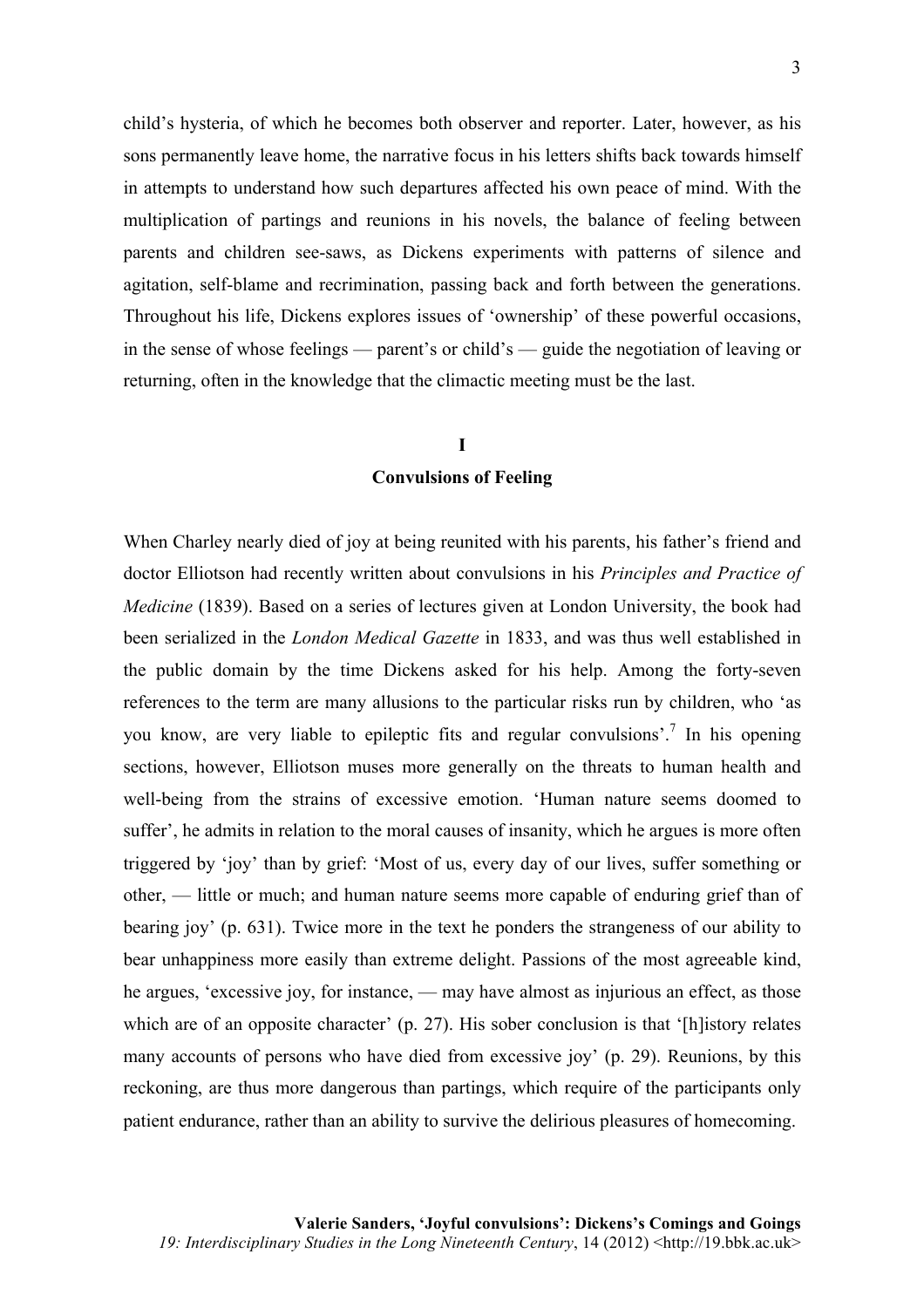child's hysteria, of which he becomes both observer and reporter. Later, however, as his sons permanently leave home, the narrative focus in his letters shifts back towards himself in attempts to understand how such departures affected his own peace of mind. With the multiplication of partings and reunions in his novels, the balance of feeling between parents and children see-saws, as Dickens experiments with patterns of silence and agitation, self-blame and recrimination, passing back and forth between the generations. Throughout his life, Dickens explores issues of 'ownership' of these powerful occasions, in the sense of whose feelings — parent's or child's — guide the negotiation of leaving or returning, often in the knowledge that the climactic meeting must be the last.

### **I**

#### **Convulsions of Feeling**

When Charley nearly died of joy at being reunited with his parents, his father's friend and doctor Elliotson had recently written about convulsions in his *Principles and Practice of Medicine* (1839). Based on a series of lectures given at London University, the book had been serialized in the *London Medical Gazette* in 1833, and was thus well established in the public domain by the time Dickens asked for his help. Among the forty-seven references to the term are many allusions to the particular risks run by children, who 'as you know, are very liable to epileptic fits and regular convulsions'.7 In his opening sections, however, Elliotson muses more generally on the threats to human health and well-being from the strains of excessive emotion. 'Human nature seems doomed to suffer', he admits in relation to the moral causes of insanity, which he argues is more often triggered by 'joy' than by grief: 'Most of us, every day of our lives, suffer something or other, — little or much; and human nature seems more capable of enduring grief than of bearing joy' (p. 631). Twice more in the text he ponders the strangeness of our ability to bear unhappiness more easily than extreme delight. Passions of the most agreeable kind, he argues, 'excessive joy, for instance, — may have almost as injurious an effect, as those which are of an opposite character' (p. 27). His sober conclusion is that '[h]istory relates many accounts of persons who have died from excessive joy' (p. 29). Reunions, by this reckoning, are thus more dangerous than partings, which require of the participants only patient endurance, rather than an ability to survive the delirious pleasures of homecoming.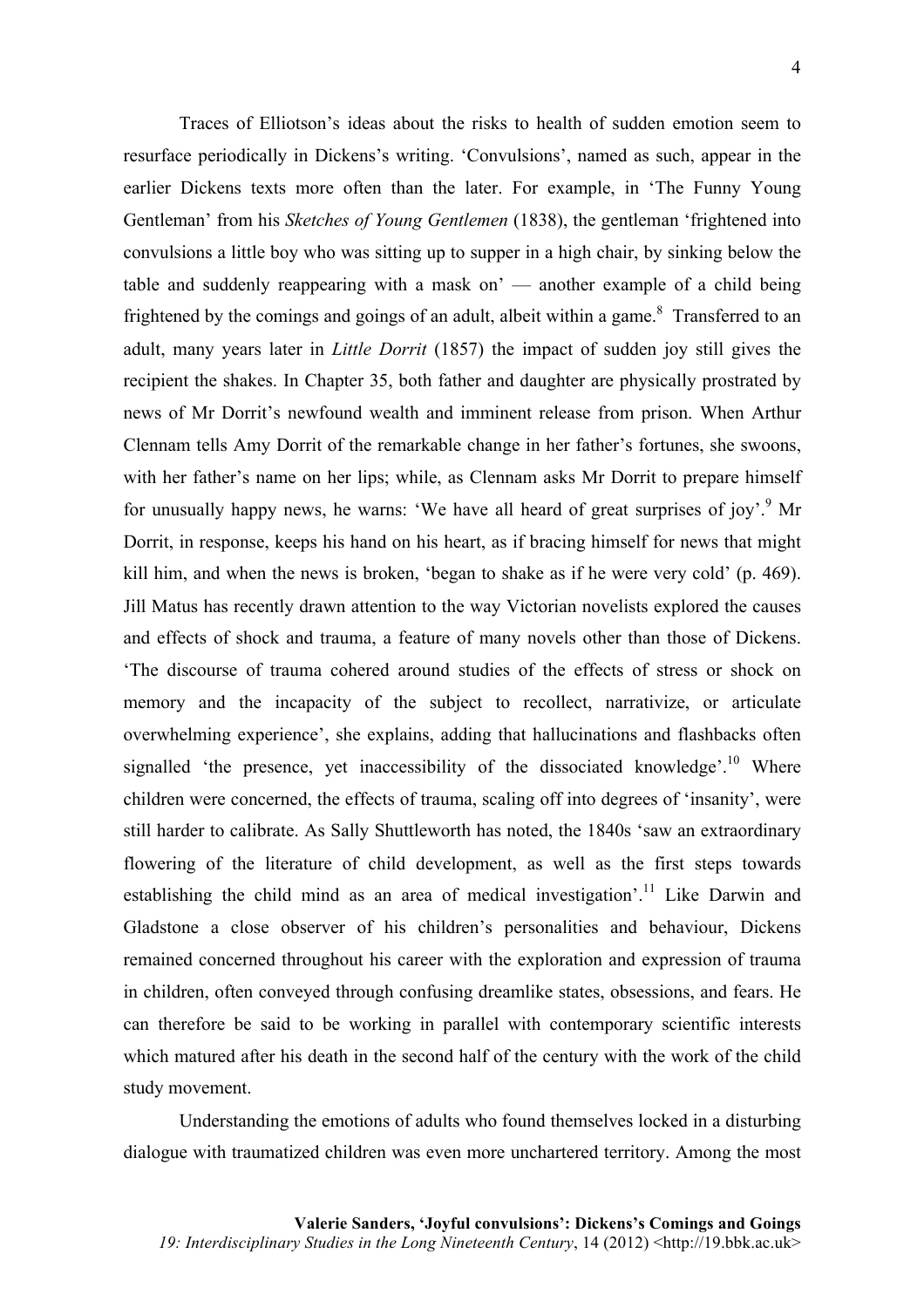Traces of Elliotson's ideas about the risks to health of sudden emotion seem to resurface periodically in Dickens's writing. 'Convulsions', named as such, appear in the earlier Dickens texts more often than the later. For example, in 'The Funny Young Gentleman' from his *Sketches of Young Gentlemen* (1838), the gentleman 'frightened into convulsions a little boy who was sitting up to supper in a high chair, by sinking below the table and suddenly reappearing with a mask on' — another example of a child being frightened by the comings and goings of an adult, albeit within a game.<sup>8</sup> Transferred to an adult, many years later in *Little Dorrit* (1857) the impact of sudden joy still gives the recipient the shakes. In Chapter 35, both father and daughter are physically prostrated by news of Mr Dorrit's newfound wealth and imminent release from prison. When Arthur Clennam tells Amy Dorrit of the remarkable change in her father's fortunes, she swoons, with her father's name on her lips; while, as Clennam asks Mr Dorrit to prepare himself for unusually happy news, he warns: 'We have all heard of great surprises of joy'.<sup>9</sup> Mr Dorrit, in response, keeps his hand on his heart, as if bracing himself for news that might kill him, and when the news is broken, 'began to shake as if he were very cold' (p. 469). Jill Matus has recently drawn attention to the way Victorian novelists explored the causes and effects of shock and trauma, a feature of many novels other than those of Dickens. 'The discourse of trauma cohered around studies of the effects of stress or shock on memory and the incapacity of the subject to recollect, narrativize, or articulate overwhelming experience', she explains, adding that hallucinations and flashbacks often signalled 'the presence, yet inaccessibility of the dissociated knowledge'.<sup>10</sup> Where children were concerned, the effects of trauma, scaling off into degrees of 'insanity', were still harder to calibrate. As Sally Shuttleworth has noted, the 1840s 'saw an extraordinary flowering of the literature of child development, as well as the first steps towards establishing the child mind as an area of medical investigation'.<sup>11</sup> Like Darwin and Gladstone a close observer of his children's personalities and behaviour, Dickens remained concerned throughout his career with the exploration and expression of trauma in children, often conveyed through confusing dreamlike states, obsessions, and fears. He can therefore be said to be working in parallel with contemporary scientific interests which matured after his death in the second half of the century with the work of the child study movement.

Understanding the emotions of adults who found themselves locked in a disturbing dialogue with traumatized children was even more unchartered territory. Among the most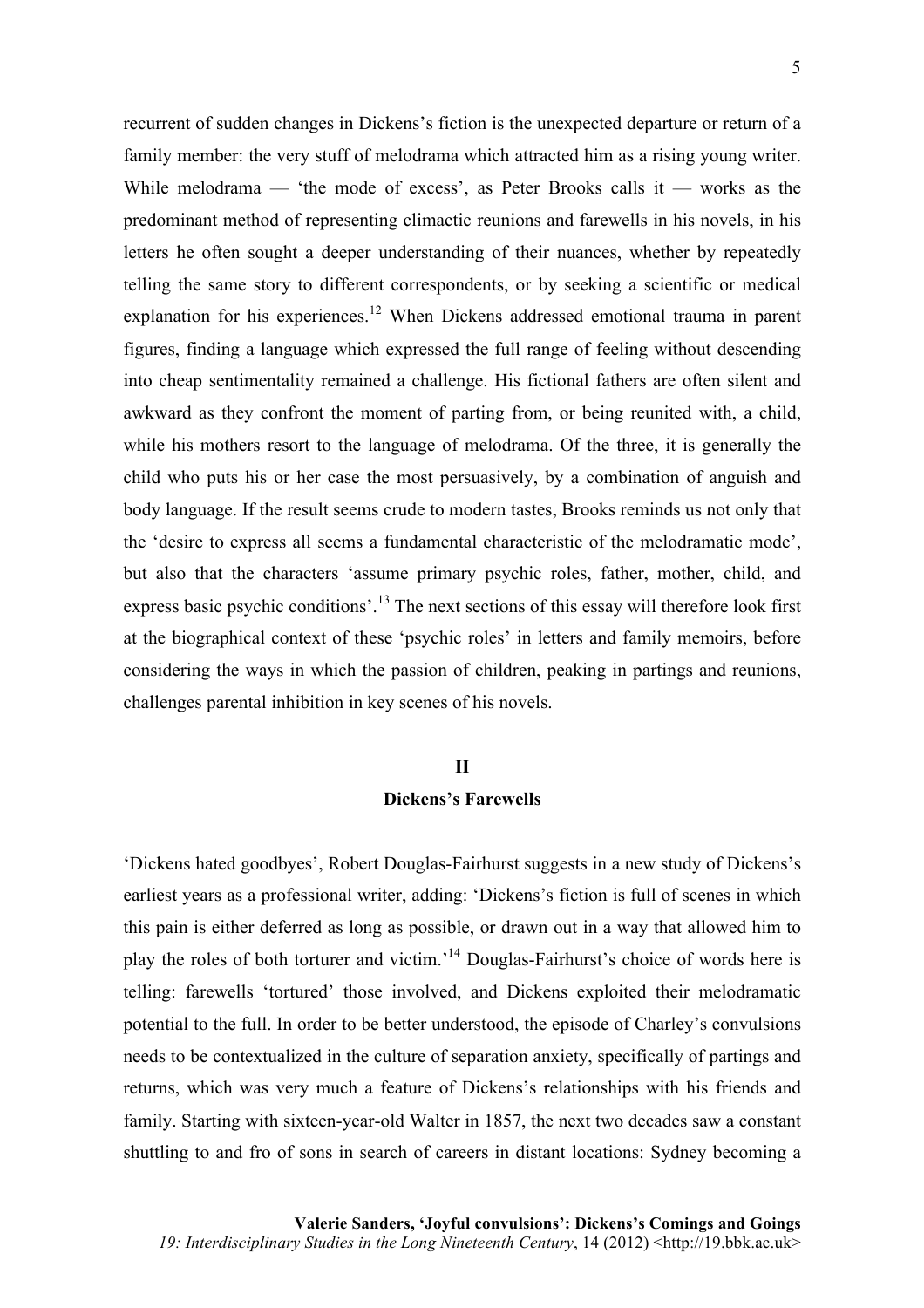recurrent of sudden changes in Dickens's fiction is the unexpected departure or return of a family member: the very stuff of melodrama which attracted him as a rising young writer. While melodrama — 'the mode of excess', as Peter Brooks calls it — works as the predominant method of representing climactic reunions and farewells in his novels, in his letters he often sought a deeper understanding of their nuances, whether by repeatedly

telling the same story to different correspondents, or by seeking a scientific or medical explanation for his experiences.<sup>12</sup> When Dickens addressed emotional trauma in parent figures, finding a language which expressed the full range of feeling without descending into cheap sentimentality remained a challenge. His fictional fathers are often silent and awkward as they confront the moment of parting from, or being reunited with, a child, while his mothers resort to the language of melodrama. Of the three, it is generally the child who puts his or her case the most persuasively, by a combination of anguish and body language. If the result seems crude to modern tastes, Brooks reminds us not only that the 'desire to express all seems a fundamental characteristic of the melodramatic mode', but also that the characters 'assume primary psychic roles, father, mother, child, and express basic psychic conditions'.<sup>13</sup> The next sections of this essay will therefore look first at the biographical context of these 'psychic roles' in letters and family memoirs, before considering the ways in which the passion of children, peaking in partings and reunions, challenges parental inhibition in key scenes of his novels.

### **II**

#### **Dickens's Farewells**

'Dickens hated goodbyes', Robert Douglas-Fairhurst suggests in a new study of Dickens's earliest years as a professional writer, adding: 'Dickens's fiction is full of scenes in which this pain is either deferred as long as possible, or drawn out in a way that allowed him to play the roles of both torturer and victim.<sup>14</sup> Douglas-Fairhurst's choice of words here is telling: farewells 'tortured' those involved, and Dickens exploited their melodramatic potential to the full. In order to be better understood, the episode of Charley's convulsions needs to be contextualized in the culture of separation anxiety, specifically of partings and returns, which was very much a feature of Dickens's relationships with his friends and family. Starting with sixteen-year-old Walter in 1857, the next two decades saw a constant shuttling to and fro of sons in search of careers in distant locations: Sydney becoming a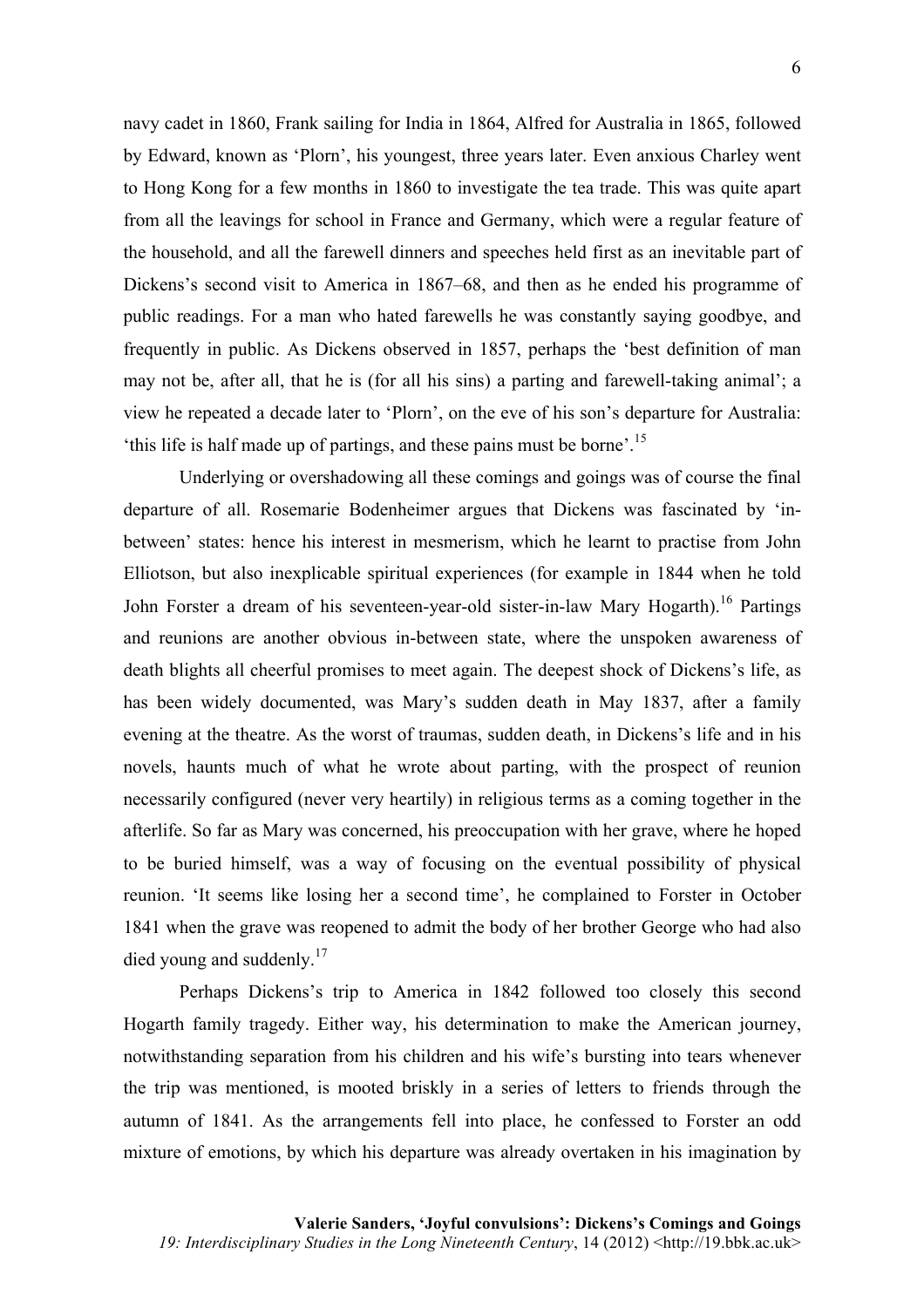navy cadet in 1860, Frank sailing for India in 1864, Alfred for Australia in 1865, followed by Edward, known as 'Plorn', his youngest, three years later. Even anxious Charley went to Hong Kong for a few months in 1860 to investigate the tea trade. This was quite apart from all the leavings for school in France and Germany, which were a regular feature of the household, and all the farewell dinners and speeches held first as an inevitable part of Dickens's second visit to America in 1867–68, and then as he ended his programme of public readings. For a man who hated farewells he was constantly saying goodbye, and frequently in public. As Dickens observed in 1857, perhaps the 'best definition of man may not be, after all, that he is (for all his sins) a parting and farewell-taking animal'; a view he repeated a decade later to 'Plorn', on the eve of his son's departure for Australia: 'this life is half made up of partings, and these pains must be borne'.<sup>15</sup>

Underlying or overshadowing all these comings and goings was of course the final departure of all. Rosemarie Bodenheimer argues that Dickens was fascinated by 'inbetween' states: hence his interest in mesmerism, which he learnt to practise from John Elliotson, but also inexplicable spiritual experiences (for example in 1844 when he told John Forster a dream of his seventeen-year-old sister-in-law Mary Hogarth).<sup>16</sup> Partings and reunions are another obvious in-between state, where the unspoken awareness of death blights all cheerful promises to meet again. The deepest shock of Dickens's life, as has been widely documented, was Mary's sudden death in May 1837, after a family evening at the theatre. As the worst of traumas, sudden death, in Dickens's life and in his novels, haunts much of what he wrote about parting, with the prospect of reunion necessarily configured (never very heartily) in religious terms as a coming together in the afterlife. So far as Mary was concerned, his preoccupation with her grave, where he hoped to be buried himself, was a way of focusing on the eventual possibility of physical reunion. 'It seems like losing her a second time', he complained to Forster in October 1841 when the grave was reopened to admit the body of her brother George who had also died young and suddenly.<sup>17</sup>

Perhaps Dickens's trip to America in 1842 followed too closely this second Hogarth family tragedy. Either way, his determination to make the American journey, notwithstanding separation from his children and his wife's bursting into tears whenever the trip was mentioned, is mooted briskly in a series of letters to friends through the autumn of 1841. As the arrangements fell into place, he confessed to Forster an odd mixture of emotions, by which his departure was already overtaken in his imagination by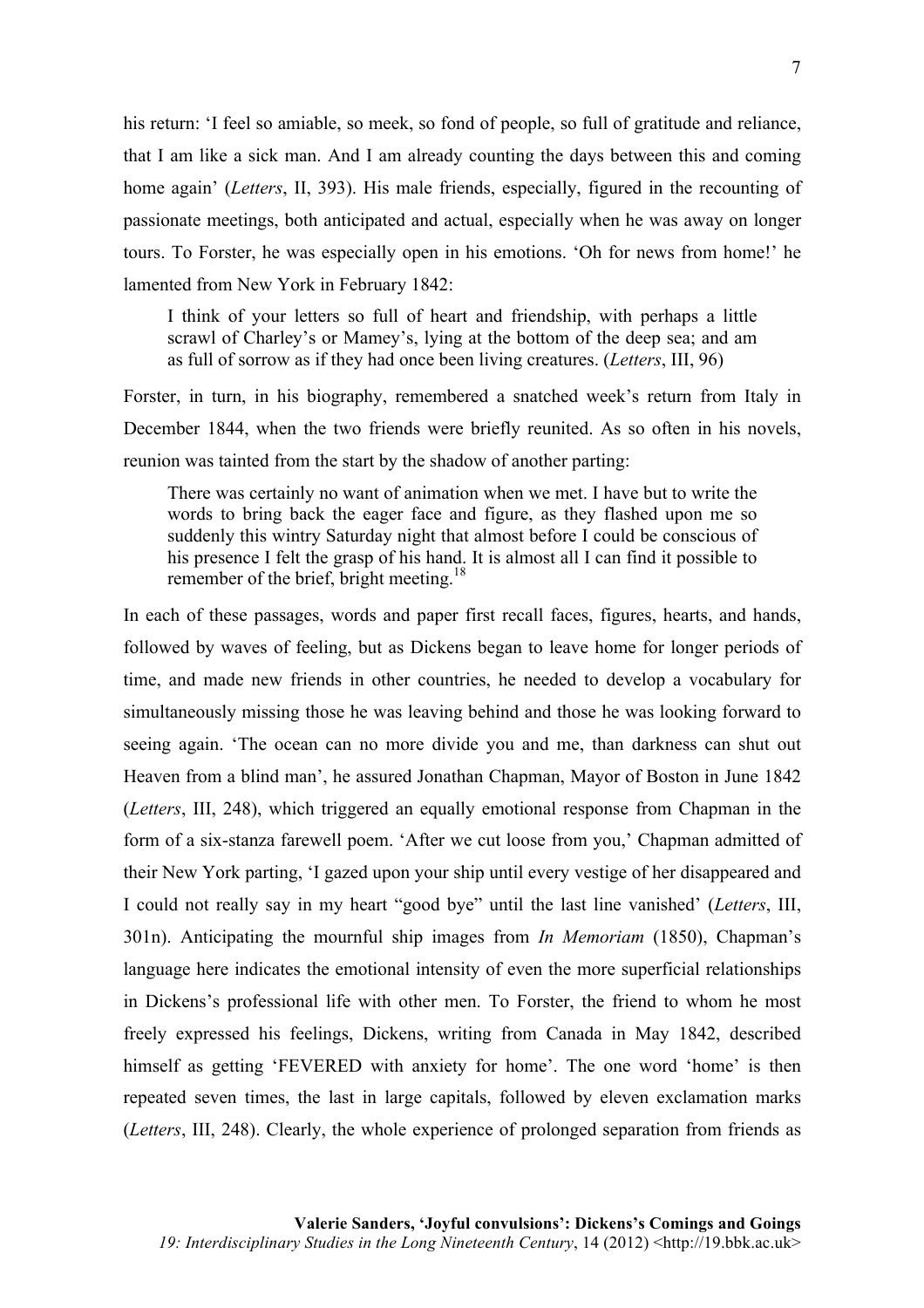his return: 'I feel so amiable, so meek, so fond of people, so full of gratitude and reliance, that I am like a sick man. And I am already counting the days between this and coming home again' (*Letters*, II, 393). His male friends, especially, figured in the recounting of passionate meetings, both anticipated and actual, especially when he was away on longer tours. To Forster, he was especially open in his emotions. 'Oh for news from home!' he lamented from New York in February 1842:

I think of your letters so full of heart and friendship, with perhaps a little scrawl of Charley's or Mamey's, lying at the bottom of the deep sea; and am as full of sorrow as if they had once been living creatures. (*Letters*, III, 96)

Forster, in turn, in his biography, remembered a snatched week's return from Italy in December 1844, when the two friends were briefly reunited. As so often in his novels, reunion was tainted from the start by the shadow of another parting:

There was certainly no want of animation when we met. I have but to write the words to bring back the eager face and figure, as they flashed upon me so suddenly this wintry Saturday night that almost before I could be conscious of his presence I felt the grasp of his hand. It is almost all I can find it possible to remember of the brief, bright meeting.<sup>18</sup>

In each of these passages, words and paper first recall faces, figures, hearts, and hands, followed by waves of feeling, but as Dickens began to leave home for longer periods of time, and made new friends in other countries, he needed to develop a vocabulary for simultaneously missing those he was leaving behind and those he was looking forward to seeing again. 'The ocean can no more divide you and me, than darkness can shut out Heaven from a blind man', he assured Jonathan Chapman, Mayor of Boston in June 1842 (*Letters*, III, 248), which triggered an equally emotional response from Chapman in the form of a six-stanza farewell poem. 'After we cut loose from you,' Chapman admitted of their New York parting, 'I gazed upon your ship until every vestige of her disappeared and I could not really say in my heart "good bye" until the last line vanished' (*Letters*, III, 301n). Anticipating the mournful ship images from *In Memoriam* (1850), Chapman's language here indicates the emotional intensity of even the more superficial relationships in Dickens's professional life with other men. To Forster, the friend to whom he most freely expressed his feelings, Dickens, writing from Canada in May 1842, described himself as getting 'FEVERED with anxiety for home'. The one word 'home' is then repeated seven times, the last in large capitals, followed by eleven exclamation marks (*Letters*, III, 248). Clearly, the whole experience of prolonged separation from friends as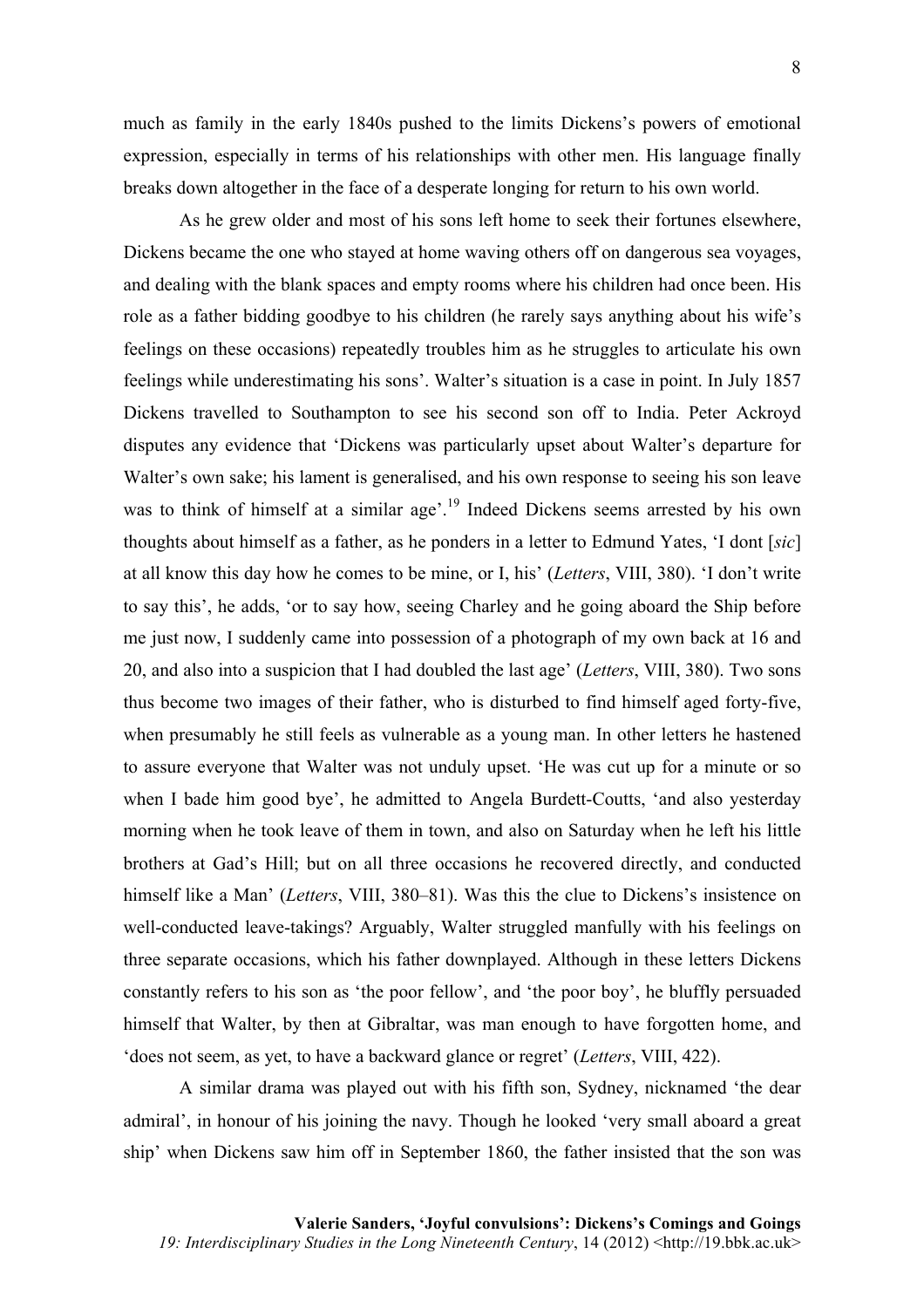much as family in the early 1840s pushed to the limits Dickens's powers of emotional expression, especially in terms of his relationships with other men. His language finally breaks down altogether in the face of a desperate longing for return to his own world.

As he grew older and most of his sons left home to seek their fortunes elsewhere, Dickens became the one who stayed at home waving others off on dangerous sea voyages, and dealing with the blank spaces and empty rooms where his children had once been. His role as a father bidding goodbye to his children (he rarely says anything about his wife's feelings on these occasions) repeatedly troubles him as he struggles to articulate his own feelings while underestimating his sons'. Walter's situation is a case in point. In July 1857 Dickens travelled to Southampton to see his second son off to India. Peter Ackroyd disputes any evidence that 'Dickens was particularly upset about Walter's departure for Walter's own sake; his lament is generalised, and his own response to seeing his son leave was to think of himself at a similar age'.<sup>19</sup> Indeed Dickens seems arrested by his own thoughts about himself as a father, as he ponders in a letter to Edmund Yates, 'I dont [*sic*] at all know this day how he comes to be mine, or I, his' (*Letters*, VIII, 380). 'I don't write to say this', he adds, 'or to say how, seeing Charley and he going aboard the Ship before me just now, I suddenly came into possession of a photograph of my own back at 16 and 20, and also into a suspicion that I had doubled the last age' (*Letters*, VIII, 380). Two sons thus become two images of their father, who is disturbed to find himself aged forty-five, when presumably he still feels as vulnerable as a young man. In other letters he hastened to assure everyone that Walter was not unduly upset. 'He was cut up for a minute or so when I bade him good bye', he admitted to Angela Burdett-Coutts, 'and also yesterday morning when he took leave of them in town, and also on Saturday when he left his little brothers at Gad's Hill; but on all three occasions he recovered directly, and conducted himself like a Man' (*Letters*, VIII, 380–81). Was this the clue to Dickens's insistence on well-conducted leave-takings? Arguably, Walter struggled manfully with his feelings on three separate occasions, which his father downplayed. Although in these letters Dickens constantly refers to his son as 'the poor fellow', and 'the poor boy', he bluffly persuaded himself that Walter, by then at Gibraltar, was man enough to have forgotten home, and 'does not seem, as yet, to have a backward glance or regret' (*Letters*, VIII, 422).

A similar drama was played out with his fifth son, Sydney, nicknamed 'the dear admiral', in honour of his joining the navy. Though he looked 'very small aboard a great ship' when Dickens saw him off in September 1860, the father insisted that the son was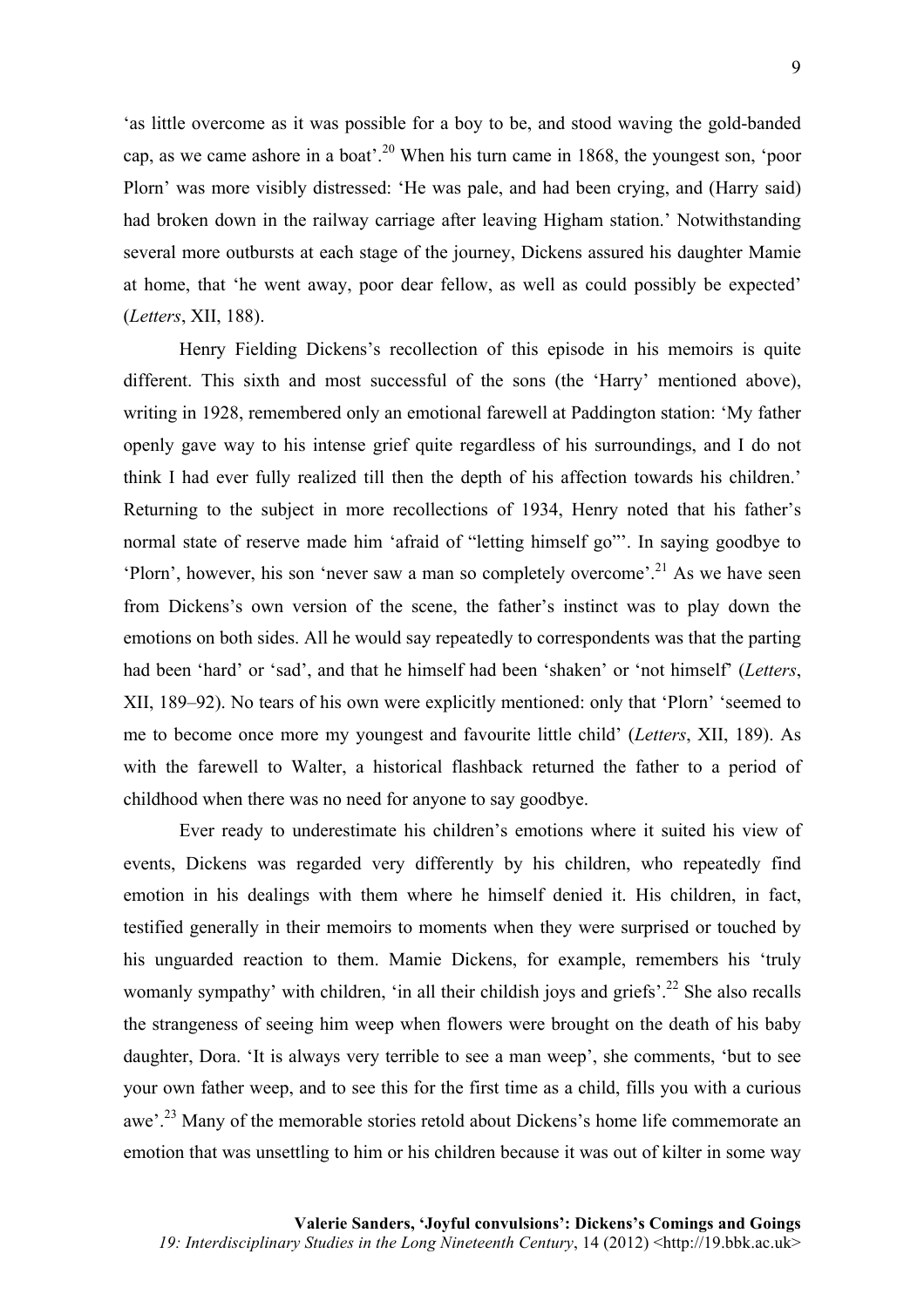'as little overcome as it was possible for a boy to be, and stood waving the gold-banded cap, as we came ashore in a boat'.<sup>20</sup> When his turn came in 1868, the youngest son, 'poor Plorn' was more visibly distressed: 'He was pale, and had been crying, and (Harry said) had broken down in the railway carriage after leaving Higham station.' Notwithstanding several more outbursts at each stage of the journey, Dickens assured his daughter Mamie at home, that 'he went away, poor dear fellow, as well as could possibly be expected' (*Letters*, XII, 188).

Henry Fielding Dickens's recollection of this episode in his memoirs is quite different. This sixth and most successful of the sons (the 'Harry' mentioned above), writing in 1928, remembered only an emotional farewell at Paddington station: 'My father openly gave way to his intense grief quite regardless of his surroundings, and I do not think I had ever fully realized till then the depth of his affection towards his children.' Returning to the subject in more recollections of 1934, Henry noted that his father's normal state of reserve made him 'afraid of "letting himself go"'. In saying goodbye to 'Plorn', however, his son 'never saw a man so completely overcome'. <sup>21</sup> As we have seen from Dickens's own version of the scene, the father's instinct was to play down the emotions on both sides. All he would say repeatedly to correspondents was that the parting had been 'hard' or 'sad', and that he himself had been 'shaken' or 'not himself' (*Letters*, XII, 189–92). No tears of his own were explicitly mentioned: only that 'Plorn' 'seemed to me to become once more my youngest and favourite little child' (*Letters*, XII, 189). As with the farewell to Walter, a historical flashback returned the father to a period of childhood when there was no need for anyone to say goodbye.

Ever ready to underestimate his children's emotions where it suited his view of events, Dickens was regarded very differently by his children, who repeatedly find emotion in his dealings with them where he himself denied it. His children, in fact, testified generally in their memoirs to moments when they were surprised or touched by his unguarded reaction to them. Mamie Dickens, for example, remembers his 'truly womanly sympathy' with children, 'in all their childish joys and griefs'.<sup>22</sup> She also recalls the strangeness of seeing him weep when flowers were brought on the death of his baby daughter, Dora. 'It is always very terrible to see a man weep', she comments, 'but to see your own father weep, and to see this for the first time as a child, fills you with a curious awe'.<sup>23</sup> Many of the memorable stories retold about Dickens's home life commemorate an emotion that was unsettling to him or his children because it was out of kilter in some way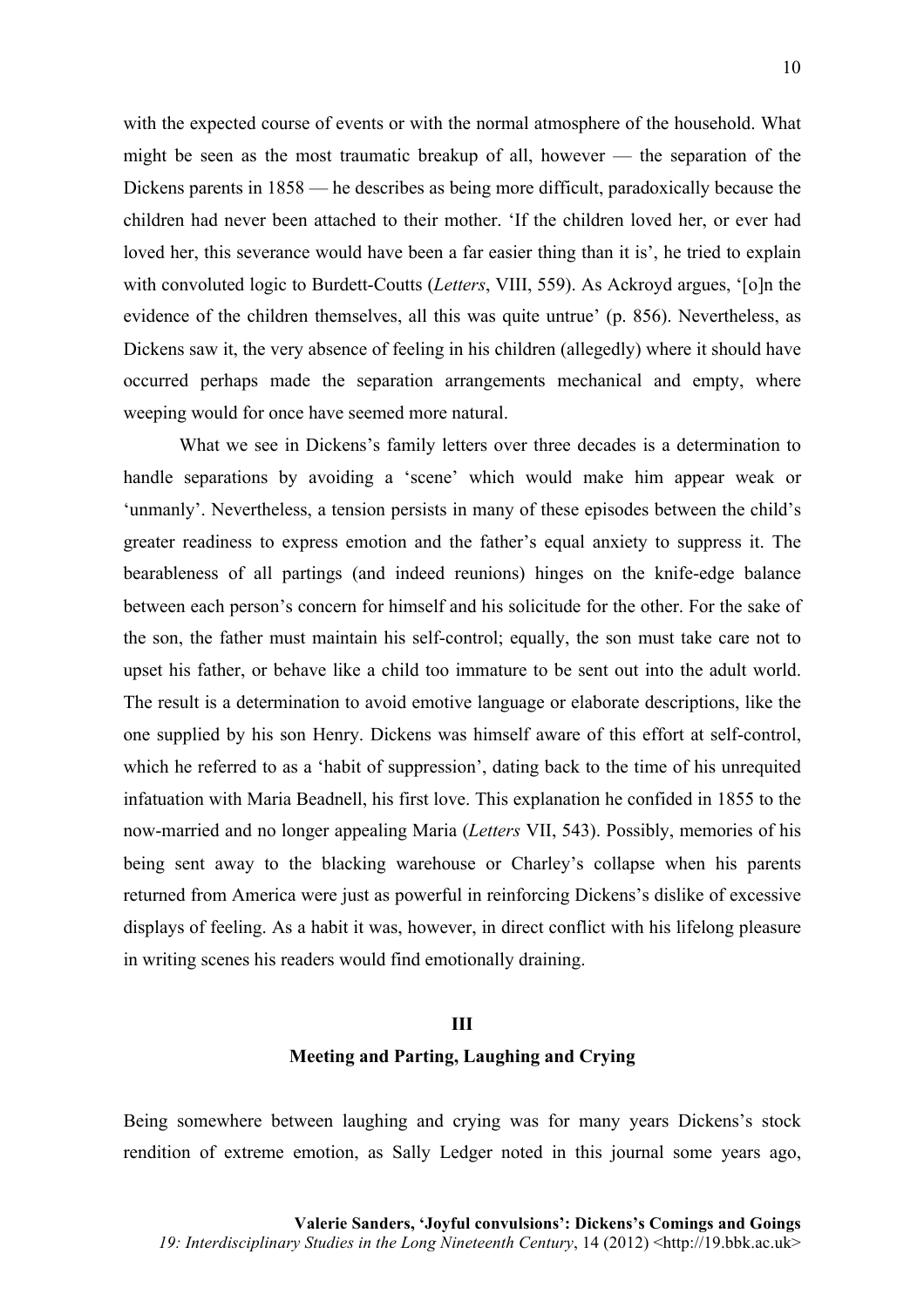with the expected course of events or with the normal atmosphere of the household. What might be seen as the most traumatic breakup of all, however — the separation of the Dickens parents in 1858 — he describes as being more difficult, paradoxically because the children had never been attached to their mother. 'If the children loved her, or ever had loved her, this severance would have been a far easier thing than it is', he tried to explain with convoluted logic to Burdett-Coutts (*Letters*, VIII, 559). As Ackroyd argues, '[o]n the evidence of the children themselves, all this was quite untrue' (p. 856). Nevertheless, as Dickens saw it, the very absence of feeling in his children (allegedly) where it should have occurred perhaps made the separation arrangements mechanical and empty, where weeping would for once have seemed more natural.

What we see in Dickens's family letters over three decades is a determination to handle separations by avoiding a 'scene' which would make him appear weak or 'unmanly'. Nevertheless, a tension persists in many of these episodes between the child's greater readiness to express emotion and the father's equal anxiety to suppress it. The bearableness of all partings (and indeed reunions) hinges on the knife-edge balance between each person's concern for himself and his solicitude for the other. For the sake of the son, the father must maintain his self-control; equally, the son must take care not to upset his father, or behave like a child too immature to be sent out into the adult world. The result is a determination to avoid emotive language or elaborate descriptions, like the one supplied by his son Henry. Dickens was himself aware of this effort at self-control, which he referred to as a 'habit of suppression', dating back to the time of his unrequited infatuation with Maria Beadnell, his first love. This explanation he confided in 1855 to the now-married and no longer appealing Maria (*Letters* VII, 543). Possibly, memories of his being sent away to the blacking warehouse or Charley's collapse when his parents returned from America were just as powerful in reinforcing Dickens's dislike of excessive displays of feeling. As a habit it was, however, in direct conflict with his lifelong pleasure in writing scenes his readers would find emotionally draining.

#### **III**

#### **Meeting and Parting, Laughing and Crying**

Being somewhere between laughing and crying was for many years Dickens's stock rendition of extreme emotion, as Sally Ledger noted in this journal some years ago,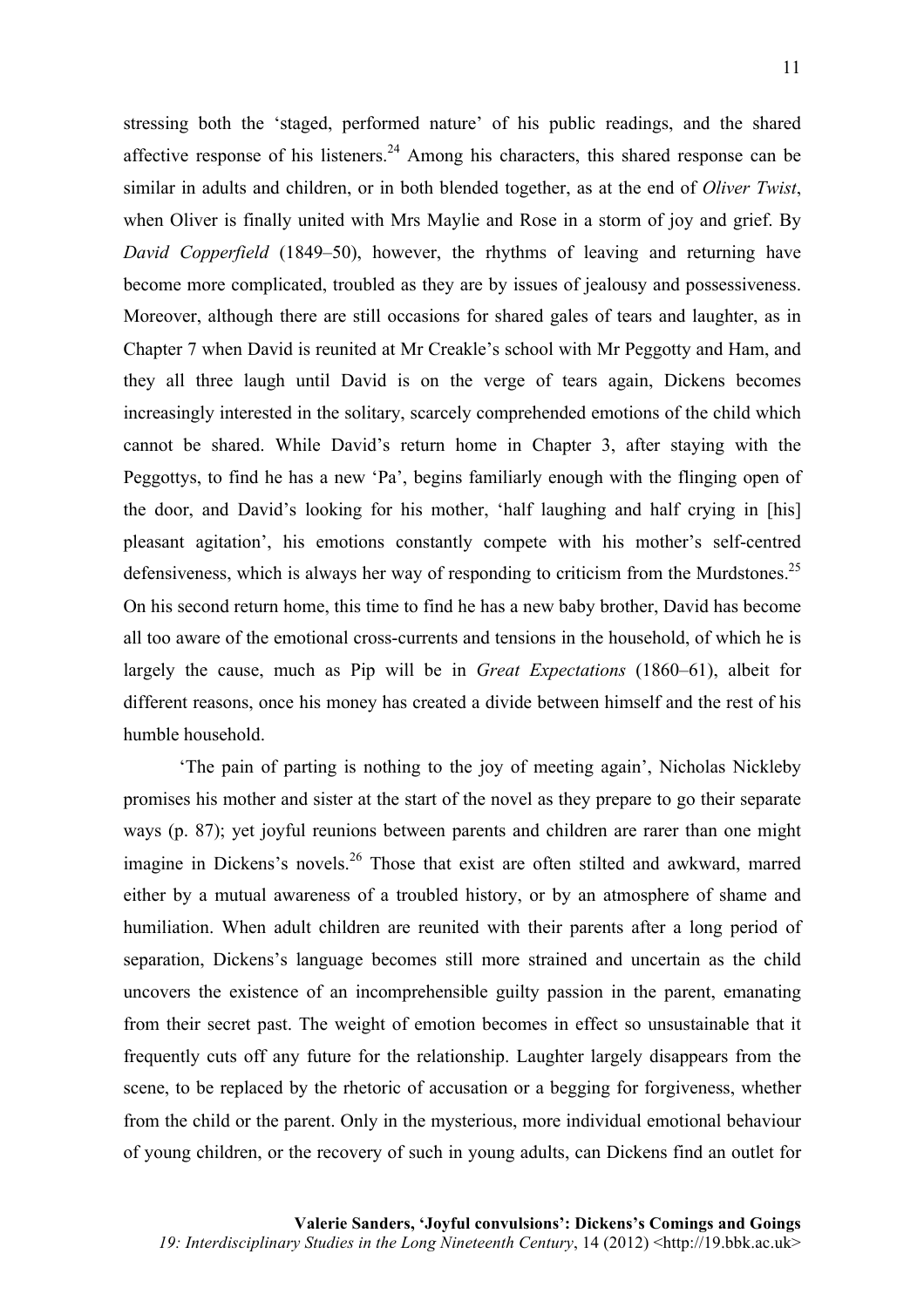stressing both the 'staged, performed nature' of his public readings, and the shared affective response of his listeners.<sup>24</sup> Among his characters, this shared response can be similar in adults and children, or in both blended together, as at the end of *Oliver Twist*, when Oliver is finally united with Mrs Maylie and Rose in a storm of joy and grief. By *David Copperfield* (1849–50), however, the rhythms of leaving and returning have become more complicated, troubled as they are by issues of jealousy and possessiveness. Moreover, although there are still occasions for shared gales of tears and laughter, as in Chapter 7 when David is reunited at Mr Creakle's school with Mr Peggotty and Ham, and they all three laugh until David is on the verge of tears again, Dickens becomes increasingly interested in the solitary, scarcely comprehended emotions of the child which cannot be shared. While David's return home in Chapter 3, after staying with the Peggottys, to find he has a new 'Pa', begins familiarly enough with the flinging open of the door, and David's looking for his mother, 'half laughing and half crying in [his] pleasant agitation', his emotions constantly compete with his mother's self-centred defensiveness, which is always her way of responding to criticism from the Murdstones.<sup>25</sup> On his second return home, this time to find he has a new baby brother, David has become all too aware of the emotional cross-currents and tensions in the household, of which he is largely the cause, much as Pip will be in *Great Expectations* (1860–61), albeit for different reasons, once his money has created a divide between himself and the rest of his humble household.

'The pain of parting is nothing to the joy of meeting again', Nicholas Nickleby promises his mother and sister at the start of the novel as they prepare to go their separate ways (p. 87); yet joyful reunions between parents and children are rarer than one might imagine in Dickens's novels.<sup>26</sup> Those that exist are often stilted and awkward, marred either by a mutual awareness of a troubled history, or by an atmosphere of shame and humiliation. When adult children are reunited with their parents after a long period of separation, Dickens's language becomes still more strained and uncertain as the child uncovers the existence of an incomprehensible guilty passion in the parent, emanating from their secret past. The weight of emotion becomes in effect so unsustainable that it frequently cuts off any future for the relationship. Laughter largely disappears from the scene, to be replaced by the rhetoric of accusation or a begging for forgiveness, whether from the child or the parent. Only in the mysterious, more individual emotional behaviour of young children, or the recovery of such in young adults, can Dickens find an outlet for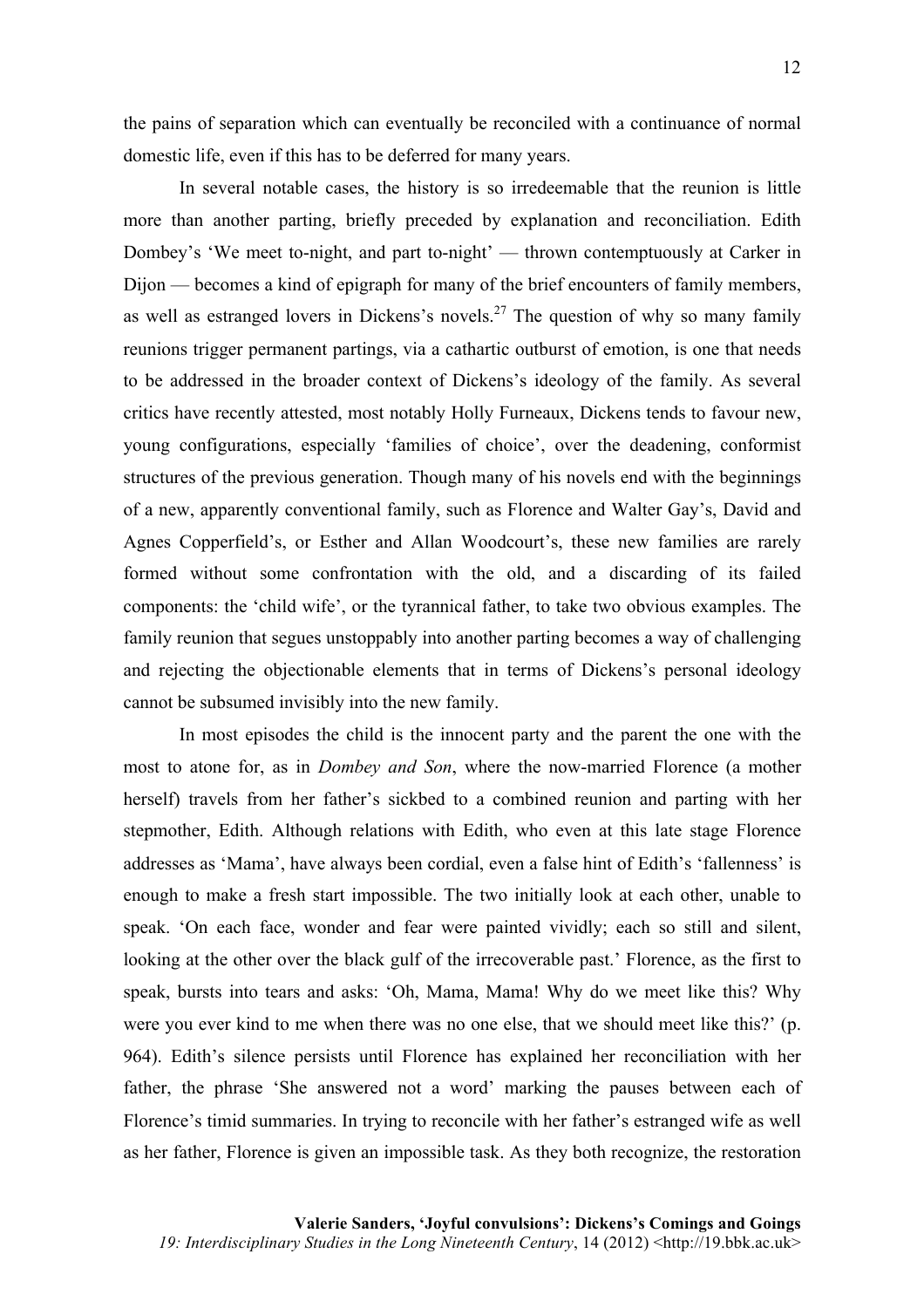the pains of separation which can eventually be reconciled with a continuance of normal domestic life, even if this has to be deferred for many years.

In several notable cases, the history is so irredeemable that the reunion is little more than another parting, briefly preceded by explanation and reconciliation. Edith Dombey's 'We meet to-night, and part to-night' — thrown contemptuously at Carker in Dijon — becomes a kind of epigraph for many of the brief encounters of family members, as well as estranged lovers in Dickens's novels.<sup>27</sup> The question of why so many family reunions trigger permanent partings, via a cathartic outburst of emotion, is one that needs to be addressed in the broader context of Dickens's ideology of the family. As several critics have recently attested, most notably Holly Furneaux, Dickens tends to favour new, young configurations, especially 'families of choice', over the deadening, conformist structures of the previous generation. Though many of his novels end with the beginnings of a new, apparently conventional family, such as Florence and Walter Gay's, David and Agnes Copperfield's, or Esther and Allan Woodcourt's, these new families are rarely formed without some confrontation with the old, and a discarding of its failed components: the 'child wife', or the tyrannical father, to take two obvious examples. The family reunion that segues unstoppably into another parting becomes a way of challenging and rejecting the objectionable elements that in terms of Dickens's personal ideology cannot be subsumed invisibly into the new family.

In most episodes the child is the innocent party and the parent the one with the most to atone for, as in *Dombey and Son*, where the now-married Florence (a mother herself) travels from her father's sickbed to a combined reunion and parting with her stepmother, Edith. Although relations with Edith, who even at this late stage Florence addresses as 'Mama', have always been cordial, even a false hint of Edith's 'fallenness' is enough to make a fresh start impossible. The two initially look at each other, unable to speak. 'On each face, wonder and fear were painted vividly; each so still and silent, looking at the other over the black gulf of the irrecoverable past.' Florence, as the first to speak, bursts into tears and asks: 'Oh, Mama, Mama! Why do we meet like this? Why were you ever kind to me when there was no one else, that we should meet like this?' (p. 964). Edith's silence persists until Florence has explained her reconciliation with her father, the phrase 'She answered not a word' marking the pauses between each of Florence's timid summaries. In trying to reconcile with her father's estranged wife as well as her father, Florence is given an impossible task. As they both recognize, the restoration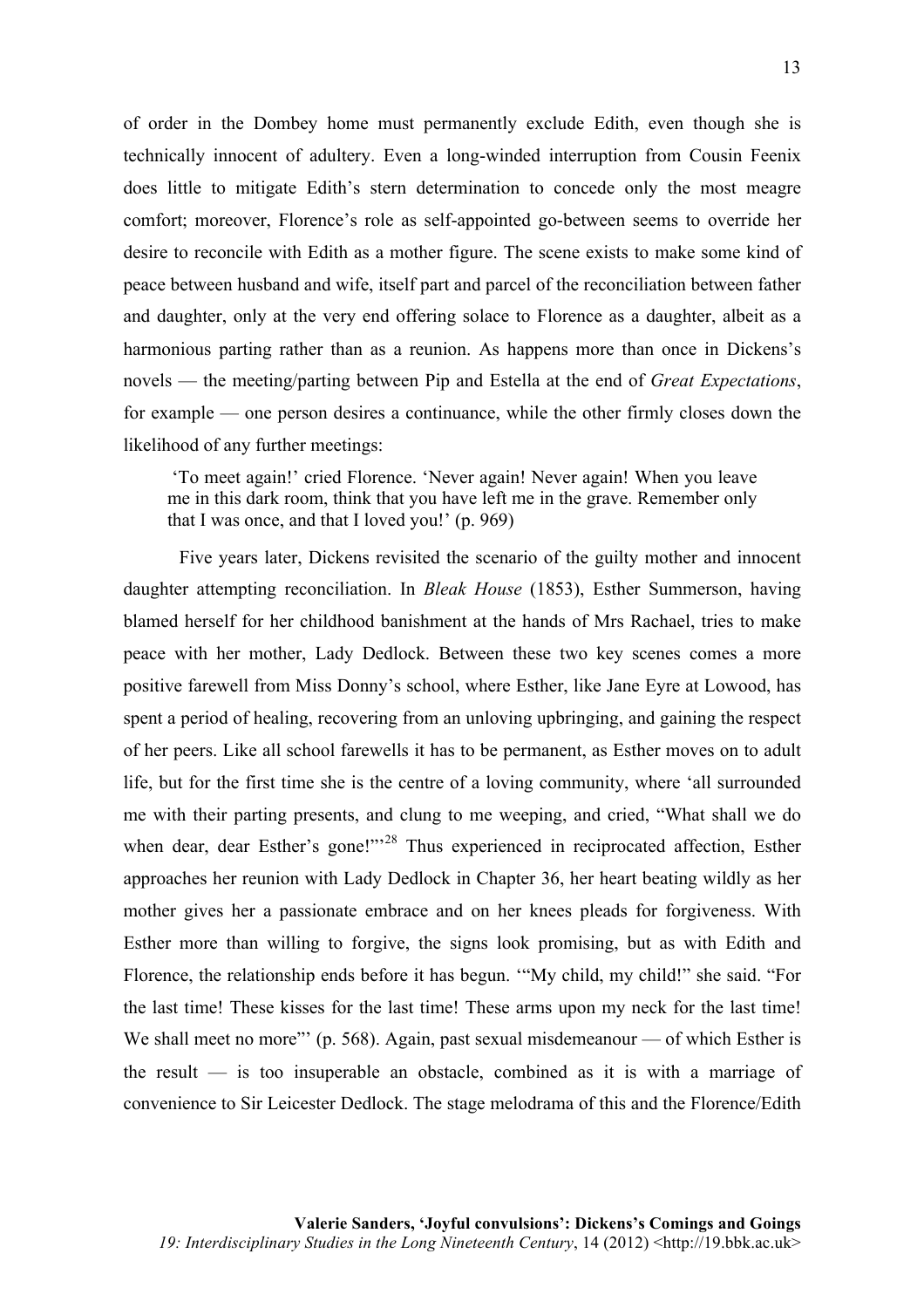of order in the Dombey home must permanently exclude Edith, even though she is technically innocent of adultery. Even a long-winded interruption from Cousin Feenix does little to mitigate Edith's stern determination to concede only the most meagre comfort; moreover, Florence's role as self-appointed go-between seems to override her desire to reconcile with Edith as a mother figure. The scene exists to make some kind of peace between husband and wife, itself part and parcel of the reconciliation between father and daughter, only at the very end offering solace to Florence as a daughter, albeit as a harmonious parting rather than as a reunion. As happens more than once in Dickens's novels — the meeting/parting between Pip and Estella at the end of *Great Expectations*, for example — one person desires a continuance, while the other firmly closes down the likelihood of any further meetings:

'To meet again!' cried Florence. 'Never again! Never again! When you leave me in this dark room, think that you have left me in the grave. Remember only that I was once, and that I loved you!' (p. 969)

Five years later, Dickens revisited the scenario of the guilty mother and innocent daughter attempting reconciliation. In *Bleak House* (1853), Esther Summerson, having blamed herself for her childhood banishment at the hands of Mrs Rachael, tries to make peace with her mother, Lady Dedlock. Between these two key scenes comes a more positive farewell from Miss Donny's school, where Esther, like Jane Eyre at Lowood, has spent a period of healing, recovering from an unloving upbringing, and gaining the respect of her peers. Like all school farewells it has to be permanent, as Esther moves on to adult life, but for the first time she is the centre of a loving community, where 'all surrounded me with their parting presents, and clung to me weeping, and cried, "What shall we do when dear, dear Esther's gone!"<sup>28</sup> Thus experienced in reciprocated affection, Esther approaches her reunion with Lady Dedlock in Chapter 36, her heart beating wildly as her mother gives her a passionate embrace and on her knees pleads for forgiveness. With Esther more than willing to forgive, the signs look promising, but as with Edith and Florence, the relationship ends before it has begun. '"My child, my child!" she said. "For the last time! These kisses for the last time! These arms upon my neck for the last time! We shall meet no more"' (p. 568). Again, past sexual misdemeanour — of which Esther is the result — is too insuperable an obstacle, combined as it is with a marriage of convenience to Sir Leicester Dedlock. The stage melodrama of this and the Florence/Edith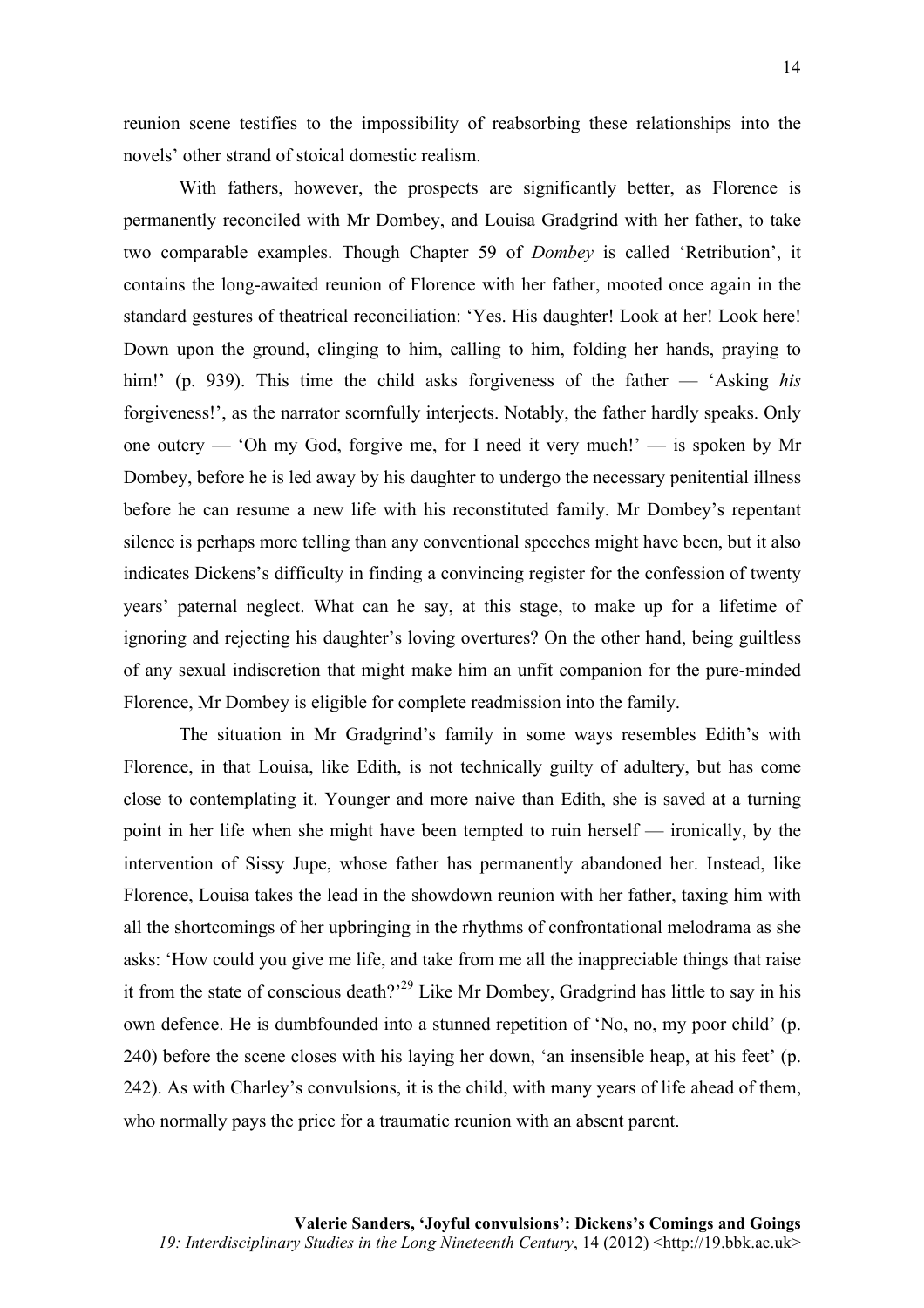reunion scene testifies to the impossibility of reabsorbing these relationships into the novels' other strand of stoical domestic realism.

With fathers, however, the prospects are significantly better, as Florence is permanently reconciled with Mr Dombey, and Louisa Gradgrind with her father, to take two comparable examples. Though Chapter 59 of *Dombey* is called 'Retribution', it contains the long-awaited reunion of Florence with her father, mooted once again in the standard gestures of theatrical reconciliation: 'Yes. His daughter! Look at her! Look here! Down upon the ground, clinging to him, calling to him, folding her hands, praying to him!' (p. 939). This time the child asks forgiveness of the father — 'Asking *his* forgiveness!', as the narrator scornfully interjects. Notably, the father hardly speaks. Only one outcry — 'Oh my God, forgive me, for I need it very much!' — is spoken by Mr Dombey, before he is led away by his daughter to undergo the necessary penitential illness before he can resume a new life with his reconstituted family. Mr Dombey's repentant silence is perhaps more telling than any conventional speeches might have been, but it also indicates Dickens's difficulty in finding a convincing register for the confession of twenty years' paternal neglect. What can he say, at this stage, to make up for a lifetime of ignoring and rejecting his daughter's loving overtures? On the other hand, being guiltless of any sexual indiscretion that might make him an unfit companion for the pure-minded Florence, Mr Dombey is eligible for complete readmission into the family.

The situation in Mr Gradgrind's family in some ways resembles Edith's with Florence, in that Louisa, like Edith, is not technically guilty of adultery, but has come close to contemplating it. Younger and more naive than Edith, she is saved at a turning point in her life when she might have been tempted to ruin herself — ironically, by the intervention of Sissy Jupe, whose father has permanently abandoned her. Instead, like Florence, Louisa takes the lead in the showdown reunion with her father, taxing him with all the shortcomings of her upbringing in the rhythms of confrontational melodrama as she asks: 'How could you give me life, and take from me all the inappreciable things that raise it from the state of conscious death?<sup>29</sup> Like Mr Dombey, Gradgrind has little to say in his own defence. He is dumbfounded into a stunned repetition of 'No, no, my poor child' (p. 240) before the scene closes with his laying her down, 'an insensible heap, at his feet' (p. 242). As with Charley's convulsions, it is the child, with many years of life ahead of them, who normally pays the price for a traumatic reunion with an absent parent.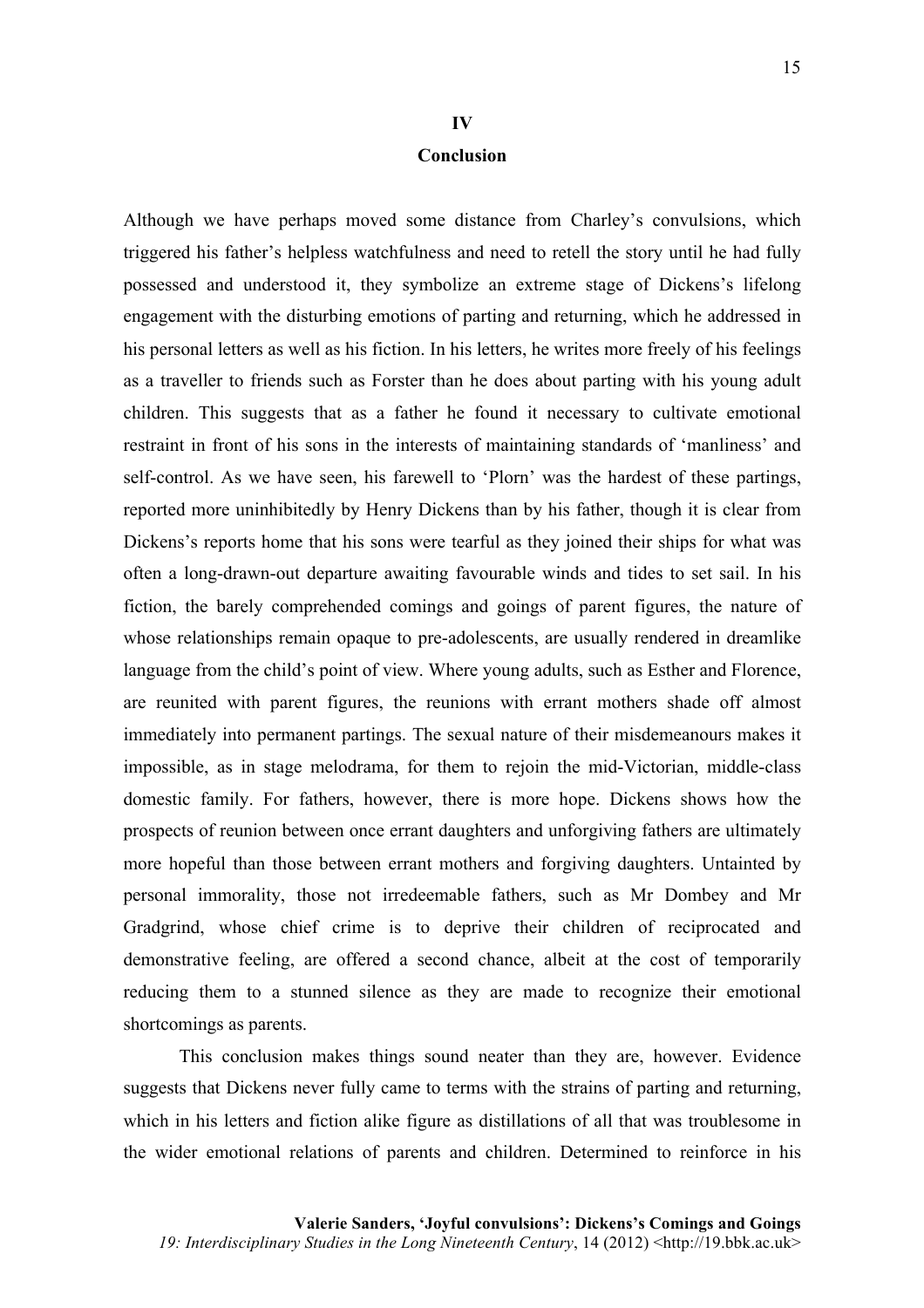## **IV**

#### **Conclusion**

Although we have perhaps moved some distance from Charley's convulsions, which triggered his father's helpless watchfulness and need to retell the story until he had fully possessed and understood it, they symbolize an extreme stage of Dickens's lifelong engagement with the disturbing emotions of parting and returning, which he addressed in his personal letters as well as his fiction. In his letters, he writes more freely of his feelings as a traveller to friends such as Forster than he does about parting with his young adult children. This suggests that as a father he found it necessary to cultivate emotional restraint in front of his sons in the interests of maintaining standards of 'manliness' and self-control. As we have seen, his farewell to 'Plorn' was the hardest of these partings, reported more uninhibitedly by Henry Dickens than by his father, though it is clear from Dickens's reports home that his sons were tearful as they joined their ships for what was often a long-drawn-out departure awaiting favourable winds and tides to set sail. In his fiction, the barely comprehended comings and goings of parent figures, the nature of whose relationships remain opaque to pre-adolescents, are usually rendered in dreamlike language from the child's point of view. Where young adults, such as Esther and Florence, are reunited with parent figures, the reunions with errant mothers shade off almost immediately into permanent partings. The sexual nature of their misdemeanours makes it impossible, as in stage melodrama, for them to rejoin the mid-Victorian, middle-class domestic family. For fathers, however, there is more hope. Dickens shows how the prospects of reunion between once errant daughters and unforgiving fathers are ultimately more hopeful than those between errant mothers and forgiving daughters. Untainted by personal immorality, those not irredeemable fathers, such as Mr Dombey and Mr Gradgrind, whose chief crime is to deprive their children of reciprocated and demonstrative feeling, are offered a second chance, albeit at the cost of temporarily reducing them to a stunned silence as they are made to recognize their emotional shortcomings as parents.

This conclusion makes things sound neater than they are, however. Evidence suggests that Dickens never fully came to terms with the strains of parting and returning, which in his letters and fiction alike figure as distillations of all that was troublesome in the wider emotional relations of parents and children. Determined to reinforce in his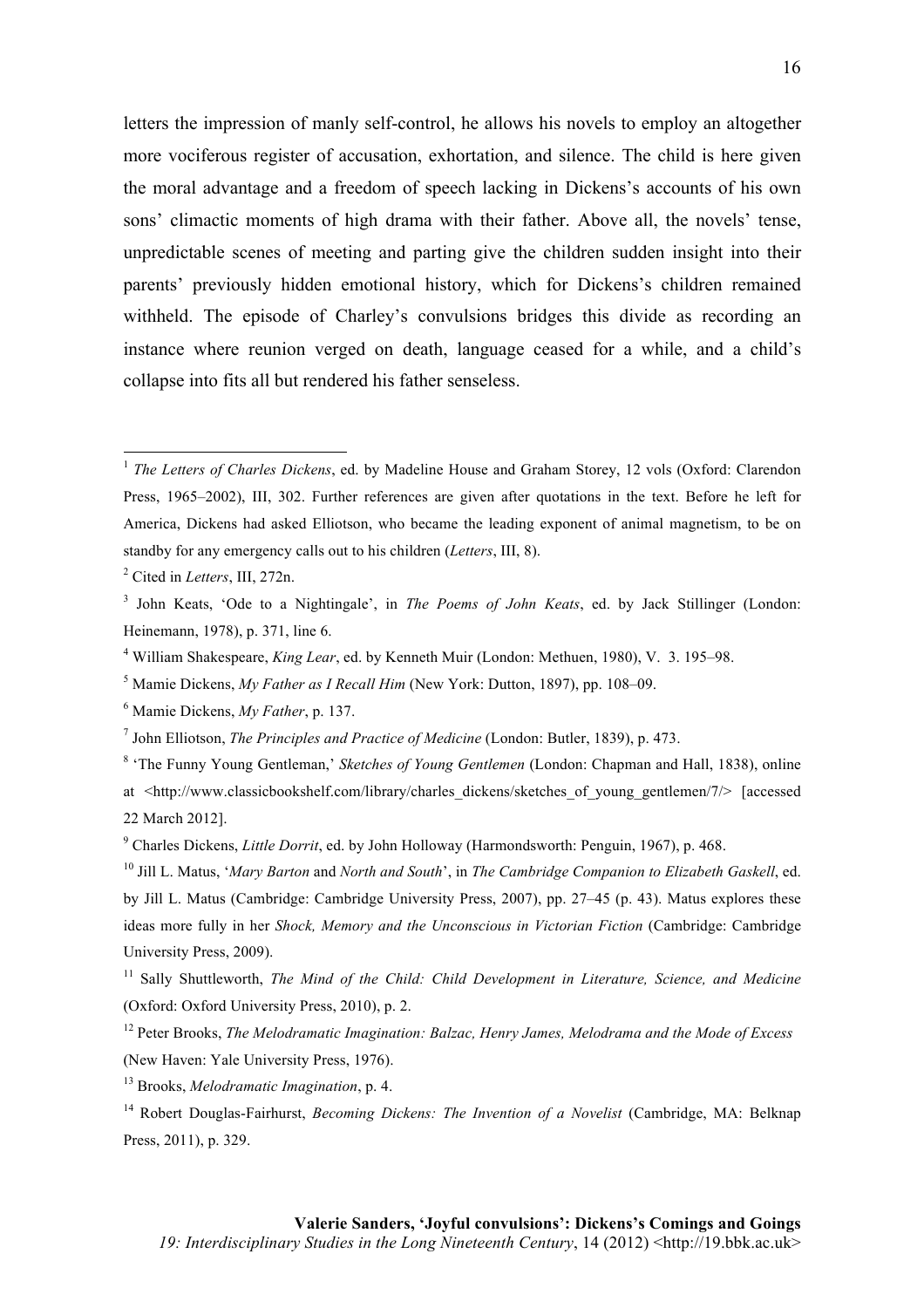letters the impression of manly self-control, he allows his novels to employ an altogether more vociferous register of accusation, exhortation, and silence. The child is here given the moral advantage and a freedom of speech lacking in Dickens's accounts of his own sons' climactic moments of high drama with their father. Above all, the novels' tense, unpredictable scenes of meeting and parting give the children sudden insight into their parents' previously hidden emotional history, which for Dickens's children remained withheld. The episode of Charley's convulsions bridges this divide as recording an instance where reunion verged on death, language ceased for a while, and a child's collapse into fits all but rendered his father senseless.

<u> 1989 - Johann Stein, fransk politik (d. 1989)</u>

<sup>&</sup>lt;sup>1</sup> *The Letters of Charles Dickens, ed.* by Madeline House and Graham Storey, 12 vols (Oxford: Clarendon Press, 1965–2002), III, 302. Further references are given after quotations in the text. Before he left for America, Dickens had asked Elliotson, who became the leading exponent of animal magnetism, to be on standby for any emergency calls out to his children (*Letters*, III, 8).

<sup>2</sup> Cited in *Letters*, III, 272n.

<sup>3</sup> John Keats, 'Ode to a Nightingale', in *The Poems of John Keats*, ed. by Jack Stillinger (London: Heinemann, 1978), p. 371, line 6.

<sup>4</sup> William Shakespeare, *King Lear*, ed. by Kenneth Muir (London: Methuen, 1980), V. 3. 195–98.

<sup>5</sup> Mamie Dickens, *My Father as I Recall Him* (New York: Dutton, 1897), pp. 108–09.

<sup>6</sup> Mamie Dickens, *My Father*, p. 137.

<sup>7</sup> John Elliotson, *The Principles and Practice of Medicine* (London: Butler, 1839), p. 473.

<sup>8</sup> 'The Funny Young Gentleman,' *Sketches of Young Gentlemen* (London: Chapman and Hall, 1838), online at <http://www.classicbookshelf.com/library/charles\_dickens/sketches\_of\_young\_gentlemen/7/> [accessed 22 March 2012].

<sup>9</sup> Charles Dickens, *Little Dorrit*, ed. by John Holloway (Harmondsworth: Penguin, 1967), p. 468.

<sup>10</sup> Jill L. Matus, '*Mary Barton* and *North and South*', in *The Cambridge Companion to Elizabeth Gaskell*, ed. by Jill L. Matus (Cambridge: Cambridge University Press, 2007), pp. 27–45 (p. 43). Matus explores these ideas more fully in her *Shock, Memory and the Unconscious in Victorian Fiction* (Cambridge: Cambridge University Press, 2009).

<sup>11</sup> Sally Shuttleworth, *The Mind of the Child: Child Development in Literature, Science, and Medicine* (Oxford: Oxford University Press, 2010), p. 2.

<sup>12</sup> Peter Brooks, *The Melodramatic Imagination: Balzac, Henry James, Melodrama and the Mode of Excess* (New Haven: Yale University Press, 1976).

<sup>13</sup> Brooks, *Melodramatic Imagination*, p. 4.

<sup>14</sup> Robert Douglas-Fairhurst, *Becoming Dickens: The Invention of a Novelist* (Cambridge, MA: Belknap Press, 2011), p. 329.